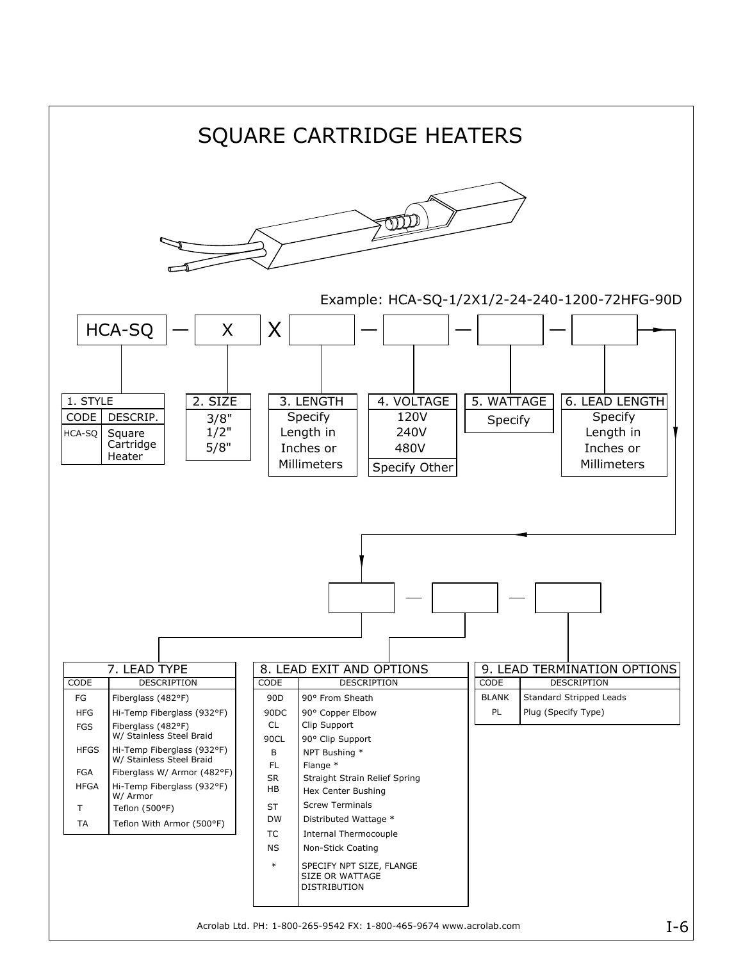